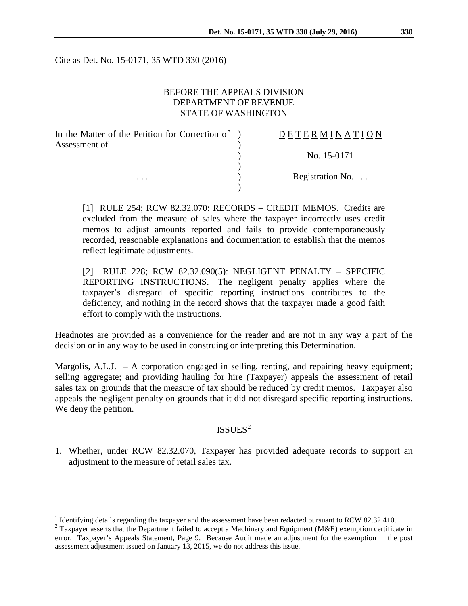Cite as Det. No. 15-0171, 35 WTD 330 (2016)

## BEFORE THE APPEALS DIVISION DEPARTMENT OF REVENUE STATE OF WASHINGTON

| In the Matter of the Petition for Correction of ) | DETERMINATION   |
|---------------------------------------------------|-----------------|
| Assessment of<br>$\cdots$                         |                 |
|                                                   | No. 15-0171     |
|                                                   |                 |
|                                                   | Registration No |
|                                                   |                 |

[1] RULE 254; RCW 82.32.070: RECORDS – CREDIT MEMOS. Credits are excluded from the measure of sales where the taxpayer incorrectly uses credit memos to adjust amounts reported and fails to provide contemporaneously recorded, reasonable explanations and documentation to establish that the memos reflect legitimate adjustments.

[2] RULE 228; RCW 82.32.090(5): NEGLIGENT PENALTY – SPECIFIC REPORTING INSTRUCTIONS. The negligent penalty applies where the taxpayer's disregard of specific reporting instructions contributes to the deficiency, and nothing in the record shows that the taxpayer made a good faith effort to comply with the instructions.

Headnotes are provided as a convenience for the reader and are not in any way a part of the decision or in any way to be used in construing or interpreting this Determination.

Margolis,  $A.L.J. - A$  corporation engaged in selling, renting, and repairing heavy equipment; selling aggregate; and providing hauling for hire (Taxpayer) appeals the assessment of retail sales tax on grounds that the measure of tax should be reduced by credit memos. Taxpayer also appeals the negligent penalty on grounds that it did not disregard specific reporting instructions. We deny the petition. $<sup>1</sup>$  $<sup>1</sup>$  $<sup>1</sup>$ </sup>

#### $ISSUES<sup>2</sup>$  $ISSUES<sup>2</sup>$  $ISSUES<sup>2</sup>$

1. Whether, under RCW 82.32.070, Taxpayer has provided adequate records to support an adjustment to the measure of retail sales tax.

<span id="page-0-0"></span><sup>&</sup>lt;sup>1</sup> Identifying details regarding the taxpayer and the assessment have been redacted pursuant to RCW 82.32.410. <sup>2</sup> Taxpayer asserts that the Department failed to accept a Machinery and Equipment (M&E) exemption certifica

<span id="page-0-1"></span>error. Taxpayer's Appeals Statement, Page 9. Because Audit made an adjustment for the exemption in the post assessment adjustment issued on January 13, 2015, we do not address this issue.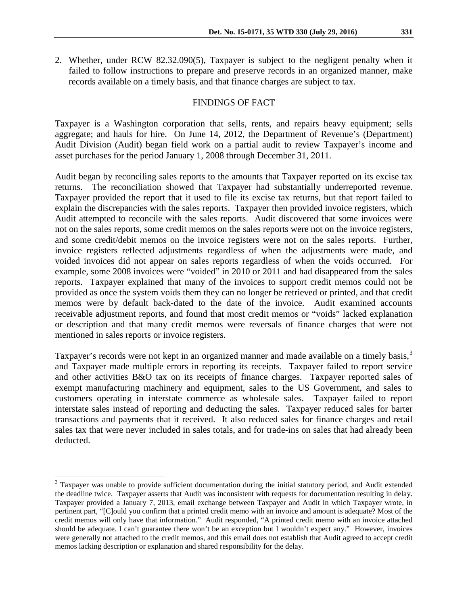2. Whether, under RCW 82.32.090(5), Taxpayer is subject to the negligent penalty when it failed to follow instructions to prepare and preserve records in an organized manner, make records available on a timely basis, and that finance charges are subject to tax.

## FINDINGS OF FACT

Taxpayer is a Washington corporation that sells, rents, and repairs heavy equipment; sells aggregate; and hauls for hire. On June 14, 2012, the Department of Revenue's (Department) Audit Division (Audit) began field work on a partial audit to review Taxpayer's income and asset purchases for the period January 1, 2008 through December 31, 2011.

Audit began by reconciling sales reports to the amounts that Taxpayer reported on its excise tax returns. The reconciliation showed that Taxpayer had substantially underreported revenue. Taxpayer provided the report that it used to file its excise tax returns, but that report failed to explain the discrepancies with the sales reports. Taxpayer then provided invoice registers, which Audit attempted to reconcile with the sales reports. Audit discovered that some invoices were not on the sales reports, some credit memos on the sales reports were not on the invoice registers, and some credit/debit memos on the invoice registers were not on the sales reports. Further, invoice registers reflected adjustments regardless of when the adjustments were made, and voided invoices did not appear on sales reports regardless of when the voids occurred. For example, some 2008 invoices were "voided" in 2010 or 2011 and had disappeared from the sales reports. Taxpayer explained that many of the invoices to support credit memos could not be provided as once the system voids them they can no longer be retrieved or printed, and that credit memos were by default back-dated to the date of the invoice. Audit examined accounts receivable adjustment reports, and found that most credit memos or "voids" lacked explanation or description and that many credit memos were reversals of finance charges that were not mentioned in sales reports or invoice registers.

Taxpayer's records were not kept in an organized manner and made available on a timely basis,<sup>[3](#page-1-0)</sup> and Taxpayer made multiple errors in reporting its receipts. Taxpayer failed to report service and other activities B&O tax on its receipts of finance charges. Taxpayer reported sales of exempt manufacturing machinery and equipment, sales to the US Government, and sales to customers operating in interstate commerce as wholesale sales. Taxpayer failed to report interstate sales instead of reporting and deducting the sales. Taxpayer reduced sales for barter transactions and payments that it received. It also reduced sales for finance charges and retail sales tax that were never included in sales totals, and for trade-ins on sales that had already been deducted.

<span id="page-1-0"></span><sup>&</sup>lt;sup>3</sup> Taxpayer was unable to provide sufficient documentation during the initial statutory period, and Audit extended the deadline twice. Taxpayer asserts that Audit was inconsistent with requests for documentation resulting in delay. Taxpayer provided a January 7, 2013, email exchange between Taxpayer and Audit in which Taxpayer wrote, in pertinent part, "[C]ould you confirm that a printed credit memo with an invoice and amount is adequate? Most of the credit memos will only have that information." Audit responded, "A printed credit memo with an invoice attached should be adequate. I can't guarantee there won't be an exception but I wouldn't expect any." However, invoices were generally not attached to the credit memos, and this email does not establish that Audit agreed to accept credit memos lacking description or explanation and shared responsibility for the delay.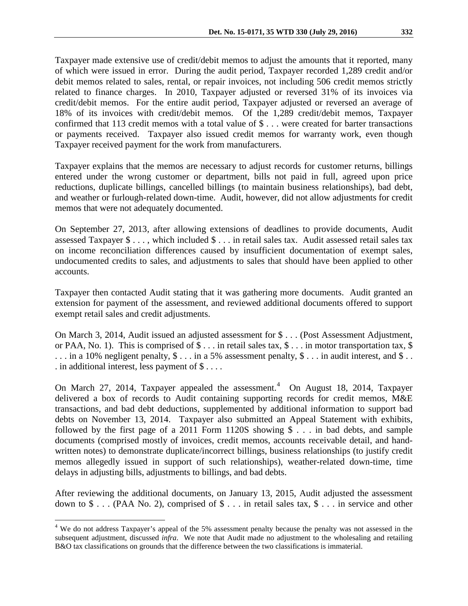Taxpayer made extensive use of credit/debit memos to adjust the amounts that it reported, many of which were issued in error. During the audit period, Taxpayer recorded 1,289 credit and/or debit memos related to sales, rental, or repair invoices, not including 506 credit memos strictly related to finance charges. In 2010, Taxpayer adjusted or reversed 31% of its invoices via credit/debit memos. For the entire audit period, Taxpayer adjusted or reversed an average of 18% of its invoices with credit/debit memos. Of the 1,289 credit/debit memos, Taxpayer confirmed that 113 credit memos with a total value of \$ . . . were created for barter transactions or payments received. Taxpayer also issued credit memos for warranty work, even though Taxpayer received payment for the work from manufacturers.

Taxpayer explains that the memos are necessary to adjust records for customer returns, billings entered under the wrong customer or department, bills not paid in full, agreed upon price reductions, duplicate billings, cancelled billings (to maintain business relationships), bad debt, and weather or furlough-related down-time. Audit, however, did not allow adjustments for credit memos that were not adequately documented.

On September 27, 2013, after allowing extensions of deadlines to provide documents, Audit assessed Taxpayer \$ . . . , which included \$ . . . in retail sales tax. Audit assessed retail sales tax on income reconciliation differences caused by insufficient documentation of exempt sales, undocumented credits to sales, and adjustments to sales that should have been applied to other accounts.

Taxpayer then contacted Audit stating that it was gathering more documents. Audit granted an extension for payment of the assessment, and reviewed additional documents offered to support exempt retail sales and credit adjustments.

On March 3, 2014, Audit issued an adjusted assessment for \$ . . . (Post Assessment Adjustment, or PAA, No. 1). This is comprised of  $\$\dots$  in retail sales tax,  $\$\dots$  in motor transportation tax,  $\$\$ ... in a 10% negligent penalty,  $\$ \dots$  in a 5% assessment penalty,  $\$ \dots$  in audit interest, and  $\$ \dots$ . in additional interest, less payment of  $\$\dots$ .

On March 27, 201[4](#page-2-0), Taxpayer appealed the assessment.<sup>4</sup> On August 18, 2014, Taxpayer delivered a box of records to Audit containing supporting records for credit memos, M&E transactions, and bad debt deductions, supplemented by additional information to support bad debts on November 13, 2014. Taxpayer also submitted an Appeal Statement with exhibits, followed by the first page of a 2011 Form 1120S showing  $\$\ldots\]$  in bad debts, and sample documents (comprised mostly of invoices, credit memos, accounts receivable detail, and handwritten notes) to demonstrate duplicate/incorrect billings, business relationships (to justify credit memos allegedly issued in support of such relationships), weather-related down-time, time delays in adjusting bills, adjustments to billings, and bad debts.

After reviewing the additional documents, on January 13, 2015, Audit adjusted the assessment down to \$ . . . (PAA No. 2), comprised of \$ . . . in retail sales tax, \$ . . . in service and other

<span id="page-2-0"></span><sup>&</sup>lt;sup>4</sup> We do not address Taxpayer's appeal of the 5% assessment penalty because the penalty was not assessed in the subsequent adjustment, discussed *infra*. We note that Audit made no adjustment to the wholesaling and retailing B&O tax classifications on grounds that the difference between the two classifications is immaterial.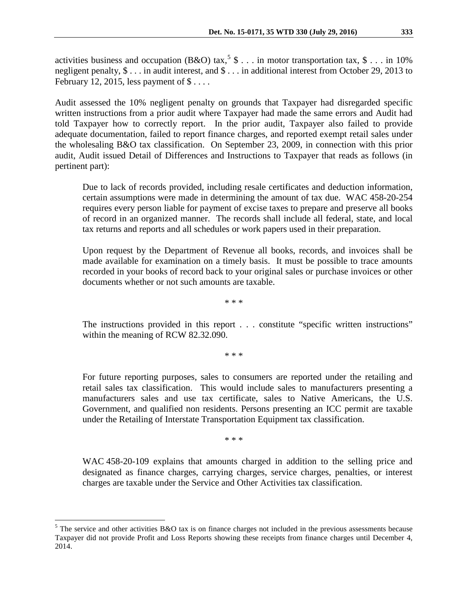activities business and occupation (B&O) tax,<sup>[5](#page-3-0)</sup> \$ . . . in motor transportation tax, \$ . . . in 10% negligent penalty, \$ . . . in audit interest, and \$ . . . in additional interest from October 29, 2013 to February 12, 2015, less payment of  $\$\dots$ .

Audit assessed the 10% negligent penalty on grounds that Taxpayer had disregarded specific written instructions from a prior audit where Taxpayer had made the same errors and Audit had told Taxpayer how to correctly report. In the prior audit, Taxpayer also failed to provide adequate documentation, failed to report finance charges, and reported exempt retail sales under the wholesaling B&O tax classification. On September 23, 2009, in connection with this prior audit, Audit issued Detail of Differences and Instructions to Taxpayer that reads as follows (in pertinent part):

Due to lack of records provided, including resale certificates and deduction information, certain assumptions were made in determining the amount of tax due. WAC 458-20-254 requires every person liable for payment of excise taxes to prepare and preserve all books of record in an organized manner. The records shall include all federal, state, and local tax returns and reports and all schedules or work papers used in their preparation.

Upon request by the Department of Revenue all books, records, and invoices shall be made available for examination on a timely basis. It must be possible to trace amounts recorded in your books of record back to your original sales or purchase invoices or other documents whether or not such amounts are taxable.

\* \* \*

The instructions provided in this report . . . constitute "specific written instructions" within the meaning of RCW 82.32.090.

\* \* \*

For future reporting purposes, sales to consumers are reported under the retailing and retail sales tax classification. This would include sales to manufacturers presenting a manufacturers sales and use tax certificate, sales to Native Americans, the U.S. Government, and qualified non residents. Persons presenting an ICC permit are taxable under the Retailing of Interstate Transportation Equipment tax classification.

\* \* \*

WAC 458-20-109 explains that amounts charged in addition to the selling price and designated as finance charges, carrying charges, service charges, penalties, or interest charges are taxable under the Service and Other Activities tax classification.

<span id="page-3-0"></span><sup>&</sup>lt;sup>5</sup> The service and other activities B&O tax is on finance charges not included in the previous assessments because Taxpayer did not provide Profit and Loss Reports showing these receipts from finance charges until December 4, 2014.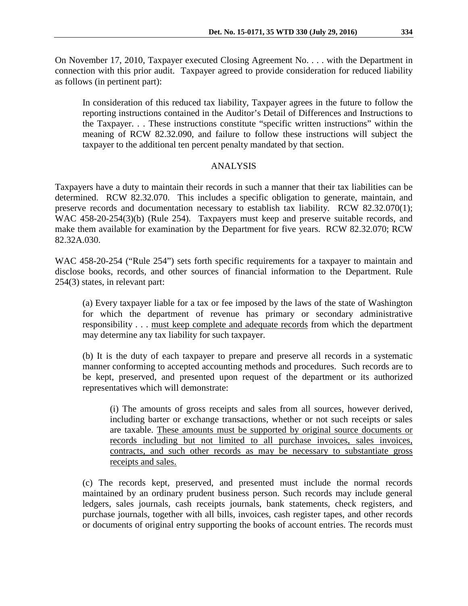On November 17, 2010, Taxpayer executed Closing Agreement No. . . . with the Department in connection with this prior audit. Taxpayer agreed to provide consideration for reduced liability as follows (in pertinent part):

In consideration of this reduced tax liability, Taxpayer agrees in the future to follow the reporting instructions contained in the Auditor's Detail of Differences and Instructions to the Taxpayer. . . These instructions constitute "specific written instructions" within the meaning of RCW 82.32.090, and failure to follow these instructions will subject the taxpayer to the additional ten percent penalty mandated by that section.

#### ANALYSIS

Taxpayers have a duty to maintain their records in such a manner that their tax liabilities can be determined. RCW 82.32.070. This includes a specific obligation to generate, maintain, and preserve records and documentation necessary to establish tax liability. RCW 82.32.070(1); WAC 458-20-254(3)(b) (Rule 254). Taxpayers must keep and preserve suitable records, and make them available for examination by the Department for five years. RCW 82.32.070; RCW 82.32A.030.

WAC 458-20-254 ("Rule 254") sets forth specific requirements for a taxpayer to maintain and disclose books, records, and other sources of financial information to the Department. Rule 254(3) states, in relevant part:

(a) Every taxpayer liable for a tax or fee imposed by the laws of the state of Washington for which the department of revenue has primary or secondary administrative responsibility . . . must keep complete and adequate records from which the department may determine any tax liability for such taxpayer.

(b) It is the duty of each taxpayer to prepare and preserve all records in a systematic manner conforming to accepted accounting methods and procedures. Such records are to be kept, preserved, and presented upon request of the department or its authorized representatives which will demonstrate:

(i) The amounts of gross receipts and sales from all sources, however derived, including barter or exchange transactions, whether or not such receipts or sales are taxable. These amounts must be supported by original source documents or records including but not limited to all purchase invoices, sales invoices, contracts, and such other records as may be necessary to substantiate gross receipts and sales.

(c) The records kept, preserved, and presented must include the normal records maintained by an ordinary prudent business person. Such records may include general ledgers, sales journals, cash receipts journals, bank statements, check registers, and purchase journals, together with all bills, invoices, cash register tapes, and other records or documents of original entry supporting the books of account entries. The records must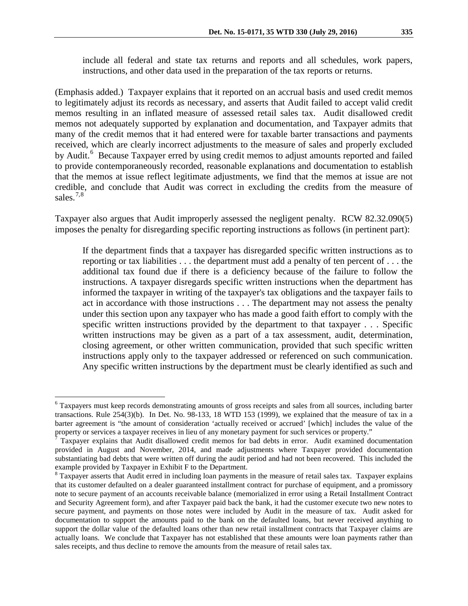include all federal and state tax returns and reports and all schedules, work papers, instructions, and other data used in the preparation of the tax reports or returns.

(Emphasis added.) Taxpayer explains that it reported on an accrual basis and used credit memos to legitimately adjust its records as necessary, and asserts that Audit failed to accept valid credit memos resulting in an inflated measure of assessed retail sales tax. Audit disallowed credit memos not adequately supported by explanation and documentation, and Taxpayer admits that many of the credit memos that it had entered were for taxable barter transactions and payments received, which are clearly incorrect adjustments to the measure of sales and properly excluded by Audit.<sup>[6](#page-5-0)</sup> Because Taxpayer erred by using credit memos to adjust amounts reported and failed to provide contemporaneously recorded, reasonable explanations and documentation to establish that the memos at issue reflect legitimate adjustments, we find that the memos at issue are not credible, and conclude that Audit was correct in excluding the credits from the measure of sales. $7,8$  $7,8$ 

Taxpayer also argues that Audit improperly assessed the negligent penalty. RCW 82.32.090(5) imposes the penalty for disregarding specific reporting instructions as follows (in pertinent part):

If the department finds that a taxpayer has disregarded specific written instructions as to reporting or tax liabilities . . . the department must add a penalty of ten percent of . . . the additional tax found due if there is a deficiency because of the failure to follow the instructions. A taxpayer disregards specific written instructions when the department has informed the taxpayer in writing of the taxpayer's tax obligations and the taxpayer fails to act in accordance with those instructions . . . The department may not assess the penalty under this section upon any taxpayer who has made a good faith effort to comply with the specific written instructions provided by the department to that taxpayer . . . Specific written instructions may be given as a part of a tax assessment, audit, determination, closing agreement, or other written communication, provided that such specific written instructions apply only to the taxpayer addressed or referenced on such communication. Any specific written instructions by the department must be clearly identified as such and

<span id="page-5-0"></span> <sup>6</sup> Taxpayers must keep records demonstrating amounts of gross receipts and sales from all sources, including barter transactions. Rule 254(3)(b). In Det. No. 98-133, 18 WTD 153 (1999), we explained that the measure of tax in a barter agreement is "the amount of consideration 'actually received or accrued' [which] includes the value of the property or services a taxpayer receives in lieu of any monetary payment for such services or property."

<span id="page-5-1"></span> $7$  Taxpayer explains that Audit disallowed credit memos for bad debts in error. Audit examined documentation provided in August and November, 2014, and made adjustments where Taxpayer provided documentation substantiating bad debts that were written off during the audit period and had not been recovered. This included the example provided by Taxpayer in Exhibit F to the Department.

<span id="page-5-2"></span><sup>&</sup>lt;sup>8</sup> Taxpayer asserts that Audit erred in including loan payments in the measure of retail sales tax. Taxpayer explains that its customer defaulted on a dealer guaranteed installment contract for purchase of equipment, and a promissory note to secure payment of an accounts receivable balance (memorialized in error using a Retail Installment Contract and Security Agreement form), and after Taxpayer paid back the bank, it had the customer execute two new notes to secure payment, and payments on those notes were included by Audit in the measure of tax. Audit asked for documentation to support the amounts paid to the bank on the defaulted loans, but never received anything to support the dollar value of the defaulted loans other than new retail installment contracts that Taxpayer claims are actually loans. We conclude that Taxpayer has not established that these amounts were loan payments rather than sales receipts, and thus decline to remove the amounts from the measure of retail sales tax.